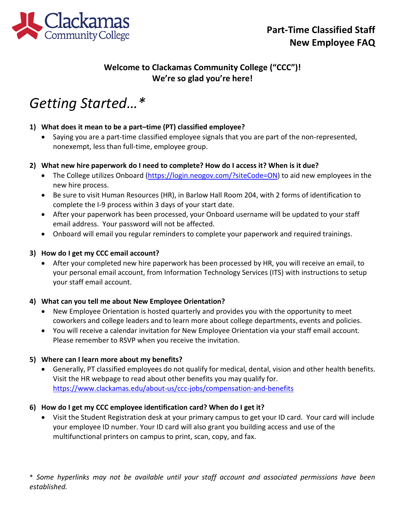

# **Welcome to Clackamas Community College ("CCC")! We're so glad you're here!**

# *Getting Started…\**

# **1) What does it mean to be a part–time (PT) classified employee?**

• Saying you are a part-time classified employee signals that you are part of the non-represented, nonexempt, less than full-time, employee group.

### **2) What new hire paperwork do I need to complete? How do I access it? When is it due?**

- The College utilizes Onboard [\(https://login.neogov.com/?siteCode=ON\)](https://login.neogov.com/?siteCode=ON) to aid new employees in the new hire process.
- Be sure to visit Human Resources (HR), in Barlow Hall Room 204, with 2 forms of identification to complete the I-9 process within 3 days of your start date.
- After your paperwork has been processed, your Onboard username will be updated to your staff email address. Your password will not be affected.
- Onboard will email you regular reminders to complete your paperwork and required trainings.

### **3) How do I get my CCC email account?**

• After your completed new hire paperwork has been processed by HR, you will receive an email, to your personal email account, from Information Technology Services (ITS) with instructions to setup your staff email account.

# **4) What can you tell me about New Employee Orientation?**

- New Employee Orientation is hosted quarterly and provides you with the opportunity to meet coworkers and college leaders and to learn more about college departments, events and policies.
- You will receive a calendar invitation for New Employee Orientation via your staff email account. Please remember to RSVP when you receive the invitation.

### **5) Where can I learn more about my benefits?**

• Generally, PT classified employees do not qualify for medical, dental, vision and other health benefits. Visit the HR webpage to read about other benefits you may qualify for. <https://www.clackamas.edu/about-us/ccc-jobs/compensation-and-benefits>

### **6) How do I get my CCC employee identification card? When do I get it?**

• Visit the Student Registration desk at your primary campus to get your ID card. Your card will include your employee ID number. Your ID card will also grant you building access and use of the multifunctional printers on campus to print, scan, copy, and fax.

\* *Some hyperlinks may not be available until your staff account and associated permissions have been established.*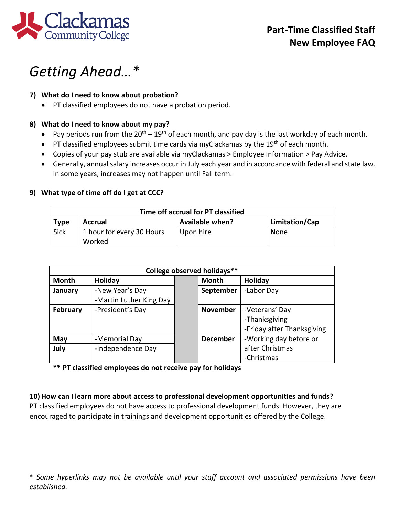

# *Getting Ahead…\**

### **7) What do I need to know about probation?**

• PT classified employees do not have a probation period.

### **8) What do I need to know about my pay?**

- Pay periods run from the  $20^{th} 19^{th}$  of each month, and pay day is the last workday of each month.
- PT classified employees submit time cards via myClackamas by the  $19<sup>th</sup>$  of each month.
- Copies of your pay stub are available via myClackamas > Employee Information > Pay Advice.
- Generally, annual salary increases occur in July each year and in accordance with federal and state law. In some years, increases may not happen until Fall term.

### **9) What type of time off do I get at CCC?**

| Time off accrual for PT classified |                                     |                        |                |  |  |
|------------------------------------|-------------------------------------|------------------------|----------------|--|--|
| <b>Type</b>                        | Accrual                             | <b>Available when?</b> | Limitation/Cap |  |  |
| <b>Sick</b>                        | 1 hour for every 30 Hours<br>Worked | Upon hire              | None           |  |  |

| College observed holidays** |                         |  |                 |                            |  |  |  |
|-----------------------------|-------------------------|--|-----------------|----------------------------|--|--|--|
| Month                       | Holiday                 |  | Month           | <b>Holiday</b>             |  |  |  |
| January                     | -New Year's Day         |  | September       | -Labor Day                 |  |  |  |
|                             | -Martin Luther King Day |  |                 |                            |  |  |  |
| <b>February</b>             | -President's Day        |  | <b>November</b> | -Veterans' Day             |  |  |  |
|                             |                         |  |                 | -Thanksgiving              |  |  |  |
|                             |                         |  |                 | -Friday after Thanksgiving |  |  |  |
| May                         | -Memorial Day           |  | <b>December</b> | -Working day before or     |  |  |  |
| July                        | -Independence Day       |  |                 | after Christmas            |  |  |  |
|                             |                         |  |                 | -Christmas                 |  |  |  |

**\*\* PT classified employees do not receive pay for holidays**

### **10) How can I learn more about access to professional development opportunities and funds?** PT classified employees do not have access to professional development funds. However, they are

encouraged to participate in trainings and development opportunities offered by the College.

\* *Some hyperlinks may not be available until your staff account and associated permissions have been established.*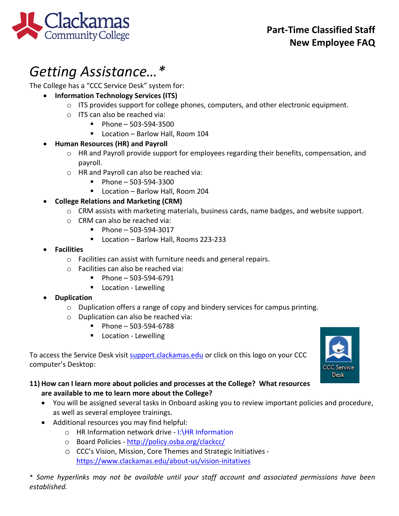

# *Getting Assistance…\**

The College has a "CCC Service Desk" system for:

- **Information Technology Services (ITS)**
	- $\circ$  ITS provides support for college phones, computers, and other electronic equipment.
	- o ITS can also be reached via:
		- $Phone 503-594-3500$
		- Location Barlow Hall, Room 104

# • **Human Resources (HR) and Payroll**

- o HR and Payroll provide support for employees regarding their benefits, compensation, and payroll.
- o HR and Payroll can also be reached via:
	- $\blacksquare$  Phone 503-594-3300
	- Location Barlow Hall, Room 204

# • **College Relations and Marketing (CRM)**

- o CRM assists with marketing materials, business cards, name badges, and website support.
- o CRM can also be reached via:
	- $\blacksquare$  Phone 503-594-3017
	- Location Barlow Hall, Rooms 223-233
- **Facilities**
	- o Facilities can assist with furniture needs and general repairs.
	- o Facilities can also be reached via:
		- $\blacksquare$  Phone 503-594-6791
		- **Location Lewelling**

# • **Duplication**

- o Duplication offers a range of copy and bindery services for campus printing.
- o Duplication can also be reached via:
	- $\blacksquare$  Phone 503-594-6788
	- **Location Lewelling**

To access the Service Desk visit [support.clackamas.edu](https://clackamas.teamdynamix.com/TDClient/Home/) or click on this logo on your CCC computer's Desktop:



# **11) How can I learn more about policies and processes at the College? What resources are available to me to learn more about the College?**

- You will be assigned several tasks in Onboard asking you to review important policies and procedure, as well as several employee trainings.
- Additional resources you may find helpful:
	- o HR Information network drive I:\HR Information
	- o Board Policies -<http://policy.osba.org/clackcc/>
	- o CCC's Vision, Mission, Core Themes and Strategic Initiatives <https://www.clackamas.edu/about-us/vision-initatives>

\* *Some hyperlinks may not be available until your staff account and associated permissions have been established.*